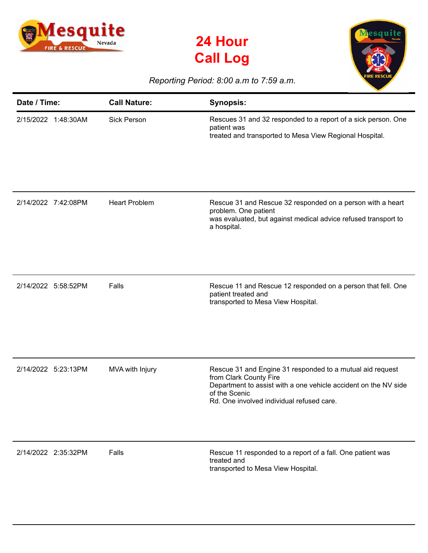





## *Reporting Period: 8:00 a.m to 7:59 a.m.*

| Date / Time:        | <b>Call Nature:</b>  | <b>Synopsis:</b>                                                                                                                                                                                                     |
|---------------------|----------------------|----------------------------------------------------------------------------------------------------------------------------------------------------------------------------------------------------------------------|
| 2/15/2022 1:48:30AM | <b>Sick Person</b>   | Rescues 31 and 32 responded to a report of a sick person. One<br>patient was<br>treated and transported to Mesa View Regional Hospital.                                                                              |
| 2/14/2022 7:42:08PM | <b>Heart Problem</b> | Rescue 31 and Rescue 32 responded on a person with a heart<br>problem. One patient<br>was evaluated, but against medical advice refused transport to<br>a hospital.                                                  |
| 2/14/2022 5:58:52PM | Falls                | Rescue 11 and Rescue 12 responded on a person that fell. One<br>patient treated and<br>transported to Mesa View Hospital.                                                                                            |
| 2/14/2022 5:23:13PM | MVA with Injury      | Rescue 31 and Engine 31 responded to a mutual aid request<br>from Clark County Fire<br>Department to assist with a one vehicle accident on the NV side<br>of the Scenic<br>Rd. One involved individual refused care. |
| 2/14/2022 2:35:32PM | Falls                | Rescue 11 responded to a report of a fall. One patient was<br>treated and<br>transported to Mesa View Hospital.                                                                                                      |